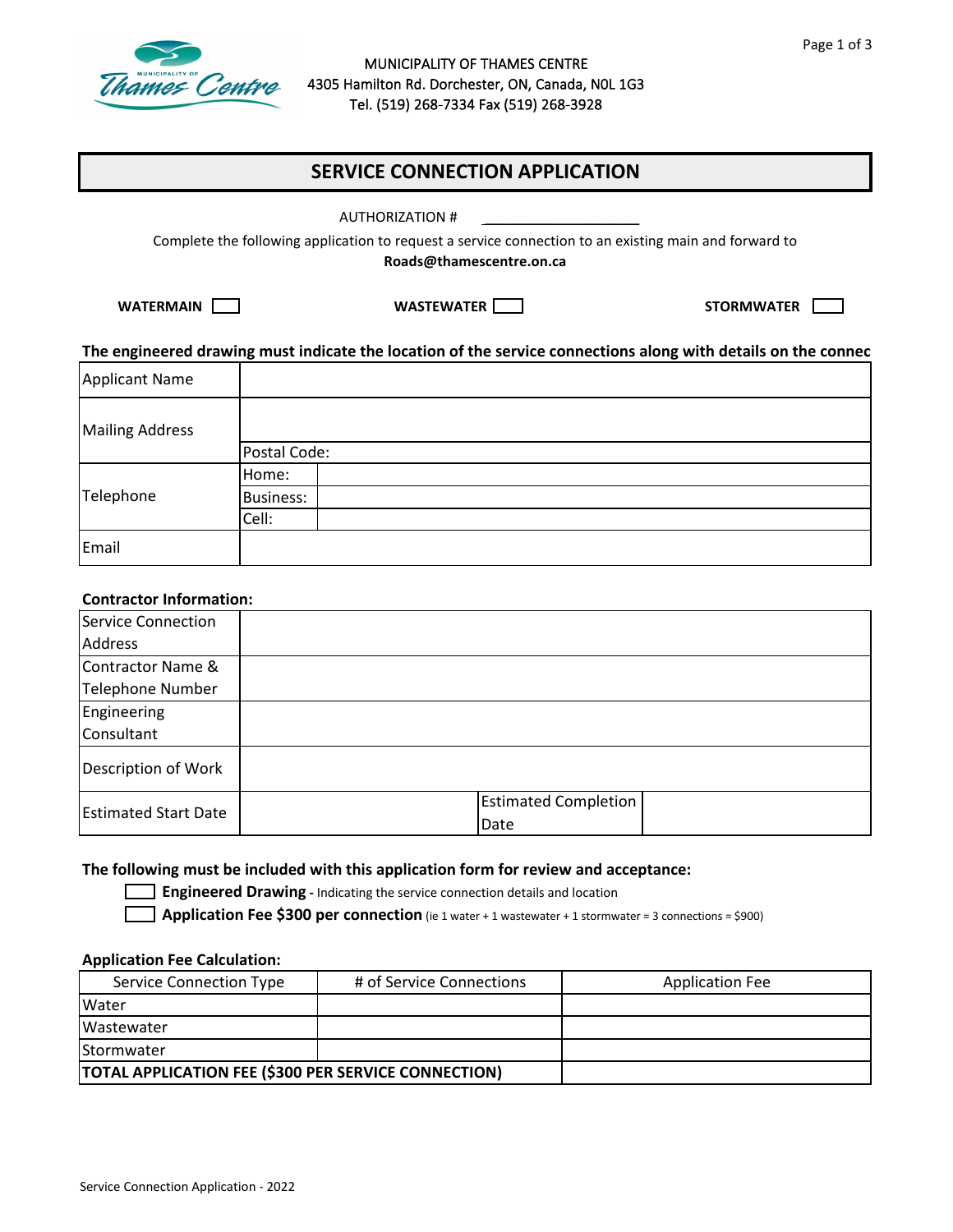

#### MUNICIPALITY OF THAMES CENTRE 4305 Hamilton Rd. Dorchester, ON, Canada, N0L 1G3 Tel. (519) 268-7334 Fax (519) 268-3928

# **SERVICE CONNECTION APPLICATION**

\_\_\_\_\_\_\_\_\_\_\_\_\_\_\_\_\_\_

Complete the following application to request a service connection to an existing main and forward to **Roads@thamescentre.on.ca**

**WATERMAIN WASTEWATER STORMWATER**

#### **The engineered drawing must indicate the location of the service connections along with details on the connec**

| Applicant Name         |                  |
|------------------------|------------------|
| <b>Mailing Address</b> |                  |
|                        | Postal Code:     |
| Telephone              | Home:            |
|                        | <b>Business:</b> |
|                        | Cell:            |
| Email                  |                  |

#### **Contractor Information:**

| Service Connection          |                                     |
|-----------------------------|-------------------------------------|
| <b>Address</b>              |                                     |
| Contractor Name &           |                                     |
| <b>Telephone Number</b>     |                                     |
| Engineering                 |                                     |
| Consultant                  |                                     |
| Description of Work         |                                     |
| <b>Estimated Start Date</b> | <b>Estimated Completion</b><br>Date |

#### **The following must be included with this application form for review and acceptance:**

**Engineered Drawing** - Indicating the service connection details and location

**Application Fee \$300 per connection** (ie 1 water + 1 wastewater + 1 stormwater = 3 connections = \$900)

#### **Application Fee Calculation:**

| Service Connection Type                                     | # of Service Connections | <b>Application Fee</b> |
|-------------------------------------------------------------|--------------------------|------------------------|
| <b>Water</b>                                                |                          |                        |
| <b>Wastewater</b>                                           |                          |                        |
| <b>IStormwater</b>                                          |                          |                        |
| <b>TOTAL APPLICATION FEE (\$300 PER SERVICE CONNECTION)</b> |                          |                        |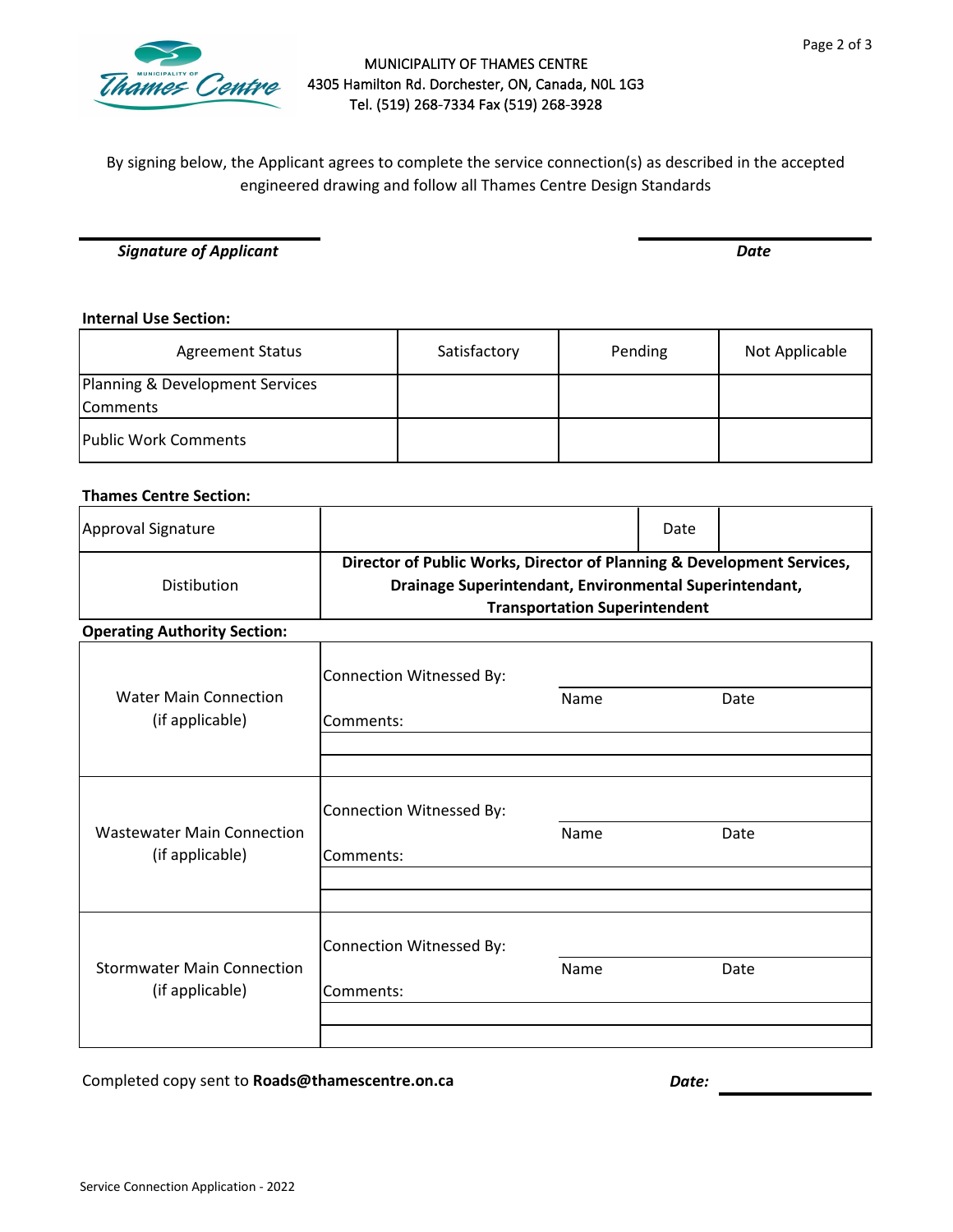

### MUNICIPALITY OF THAMES CENTRE 4305 Hamilton Rd. Dorchester, ON, Canada, N0L 1G3 Tel. (519) 268-7334 Fax (519) 268-3928

By signing below, the Applicant agrees to complete the service connection(s) as described in the accepted engineered drawing and follow all Thames Centre Design Standards

*Signature of Applicant Date*

#### **Internal Use Section:**

| <b>Agreement Status</b>                     | Satisfactory | Pending | Not Applicable |
|---------------------------------------------|--------------|---------|----------------|
| Planning & Development Services<br>Comments |              |         |                |
| <b>Public Work Comments</b>                 |              |         |                |

### **Thames Centre Section:**

| Approval Signature                                   |                                                                                                                                                                          |      | Date |      |  |
|------------------------------------------------------|--------------------------------------------------------------------------------------------------------------------------------------------------------------------------|------|------|------|--|
| <b>Distibution</b>                                   | Director of Public Works, Director of Planning & Development Services,<br>Drainage Superintendant, Environmental Superintendant,<br><b>Transportation Superintendent</b> |      |      |      |  |
| <b>Operating Authority Section:</b>                  |                                                                                                                                                                          |      |      |      |  |
|                                                      | Connection Witnessed By:                                                                                                                                                 |      |      |      |  |
| <b>Water Main Connection</b><br>(if applicable)      | Comments:                                                                                                                                                                | Name |      | Date |  |
|                                                      |                                                                                                                                                                          |      |      |      |  |
|                                                      | Connection Witnessed By:                                                                                                                                                 |      |      |      |  |
| <b>Wastewater Main Connection</b><br>(if applicable) | Comments:                                                                                                                                                                | Name |      | Date |  |
|                                                      |                                                                                                                                                                          |      |      |      |  |
|                                                      | Connection Witnessed By:                                                                                                                                                 |      |      |      |  |
| <b>Stormwater Main Connection</b><br>(if applicable) | Comments:                                                                                                                                                                | Name |      | Date |  |
|                                                      |                                                                                                                                                                          |      |      |      |  |
|                                                      |                                                                                                                                                                          |      |      |      |  |

Completed copy sent to **Roads@thamescentre.on.ca** *Date:*